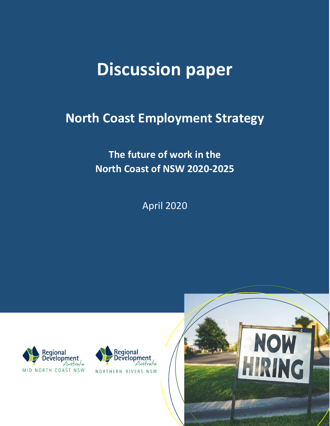# **Discussion paper**

## **North Coast Employment Strategy**

**The future of work in the North Coast of NSW 2020-2025**

April 2020





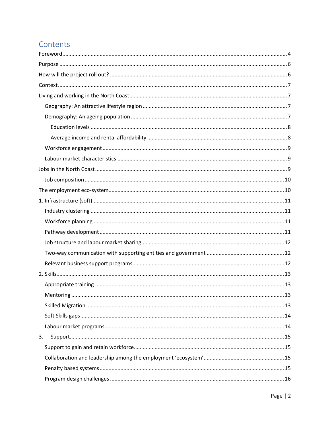## Contents

| 3. |  |
|----|--|
|    |  |
|    |  |
|    |  |
|    |  |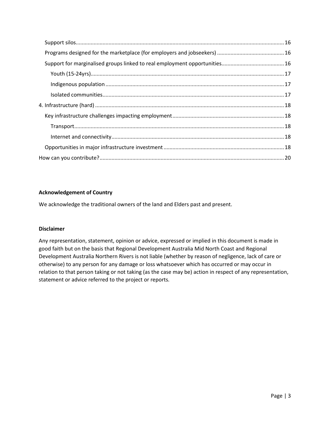#### **Acknowledgement of Country**

We acknowledge the traditional owners of the land and Elders past and present.

#### **Disclaimer**

Any representation, statement, opinion or advice, expressed or implied in this document is made in good faith but on the basis that Regional Development Australia Mid North Coast and Regional Development Australia Northern Rivers is not liable (whether by reason of negligence, lack of care or otherwise) to any person for any damage or loss whatsoever which has occurred or may occur in relation to that person taking or not taking (as the case may be) action in respect of any representation, statement or advice referred to the project or reports.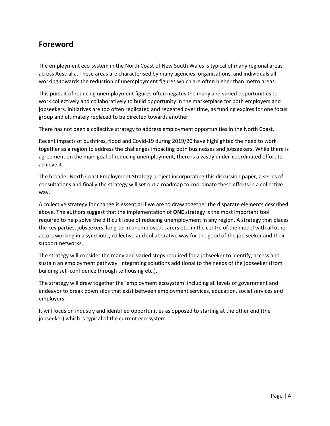## <span id="page-3-0"></span>**Foreword**

The employment eco-system in the North Coast of New South Wales is typical of many regional areas across Australia. These areas are characterised by many agencies, organisations, and individuals all working towards the reduction of unemployment figures which are often higher than metro areas.

This pursuit of reducing unemployment figures often negates the many and varied opportunities to work collectively and collaboratively to build opportunity in the marketplace for both employers and jobseekers. Initiatives are too often replicated and repeated over time, as funding expires for one focus group and ultimately replaced to be directed towards another.

There has not been a collective strategy to address employment opportunities in the North Coast.

Recent impacts of bushfires, flood and Covid-19 during 2019/20 have highlighted the need to work together as a region to address the challenges impacting both businesses and jobseekers. While there is agreement on the main goal of reducing unemployment, there is a vastly under-coordinated effort to achieve it.

The broader North Coast Employment Strategy project incorporating this discussion paper, a series of consultations and finally the strategy will set out a roadmap to coordinate these efforts in a collective way.

A collective strategy for change is essential if we are to draw together the disparate elements described above. The authors suggest that the implementation of **ONE** strategy is the most important tool required to help solve the difficult issue of reducing unemployment in any region. A strategy that places the key parties, jobseekers, long-term unemployed, carers etc. in the centre of the model with all other actors working in a symbiotic, collective and collaborative way for the good of the job seeker and their support networks.

The strategy will consider the many and varied steps required for a jobseeker to identify, access and sustain an employment pathway. Integrating solutions additional to the needs of the jobseeker (from building self-confidence through to housing etc.).

The strategy will draw together the 'employment ecosystem' including all levels of government and endeavor to break down silos that exist between employment services, education, social services and employers.

It will focus on industry and identified opportunities as opposed to starting at the other end (the jobseeker) which is typical of the current eco-system.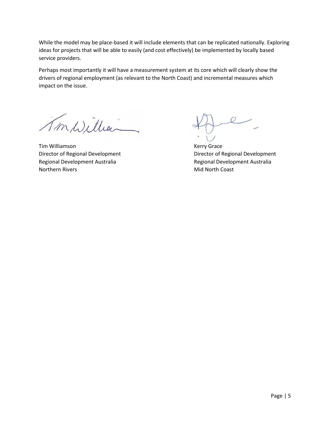While the model may be place-based it will include elements that can be replicated nationally. Exploring ideas for projects that will be able to easily (and cost effectively) be implemented by locally based service providers.

Perhaps most importantly it will have a measurement system at its core which will clearly show the drivers of regional employment (as relevant to the North Coast) and incremental measures which impact on the issue.

Imwillian

Tim Williamson **Kerry Grace** Director of Regional Development **Director of Regional Development** Regional Development Australia and Regional Development Australia Northern Rivers and Mid North Coast and Mid North Coast and Mid North Coast and Mid North Coast and Mid North Coast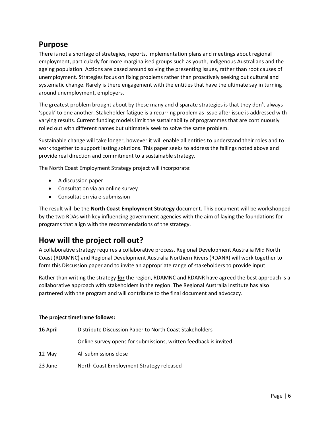### <span id="page-5-0"></span>**Purpose**

There is not a shortage of strategies, reports, implementation plans and meetings about regional employment, particularly for more marginalised groups such as youth, Indigenous Australians and the ageing population. Actions are based around solving the presenting issues, rather than root causes of unemployment. Strategies focus on fixing problems rather than proactively seeking out cultural and systematic change. Rarely is there engagement with the entities that have the ultimate say in turning around unemployment, employers.

The greatest problem brought about by these many and disparate strategies is that they don't always 'speak' to one another. Stakeholder fatigue is a recurring problem as issue after issue is addressed with varying results. Current funding models limit the sustainability of programmes that are continuously rolled out with different names but ultimately seek to solve the same problem.

Sustainable change will take longer, however it will enable all entities to understand their roles and to work together to support lasting solutions. This paper seeks to address the failings noted above and provide real direction and commitment to a sustainable strategy.

The North Coast Employment Strategy project will incorporate:

- A discussion paper
- Consultation via an online survey
- Consultation via e-submission

The result will be the **North Coast Employment Strategy** document. This document will be workshopped by the two RDAs with key influencing government agencies with the aim of laying the foundations for programs that align with the recommendations of the strategy.

## <span id="page-5-1"></span>**How will the project roll out?**

A collaborative strategy requires a collaborative process. Regional Development Australia Mid North Coast (RDAMNC) and Regional Development Australia Northern Rivers (RDANR) will work together to form this Discussion paper and to invite an appropriate range of stakeholders to provide input.

Rather than writing the strategy **for** the region, RDAMNC and RDANR have agreed the best approach is a collaborative approach with stakeholders in the region. The Regional Australia Institute has also partnered with the program and will contribute to the final document and advocacy.

#### **The project timeframe follows:**

| 16 April | Distribute Discussion Paper to North Coast Stakeholders          |  |  |
|----------|------------------------------------------------------------------|--|--|
|          | Online survey opens for submissions, written feedback is invited |  |  |
| 12 May   | All submissions close                                            |  |  |
| 23 June  | North Coast Employment Strategy released                         |  |  |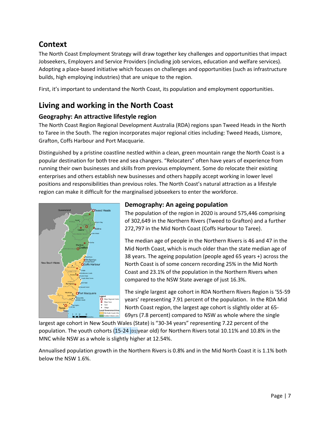## <span id="page-6-0"></span>**Context**

The North Coast Employment Strategy will draw together key challenges and opportunities that impact Jobseekers, Employers and Service Providers (including job services, education and welfare services). Adopting a place-based initiative which focuses on challenges and opportunities (such as infrastructure builds, high employing industries) that are unique to the region.

First, it's important to understand the North Coast, its population and employment opportunities.

## <span id="page-6-1"></span>**Living and working in the North Coast**

#### <span id="page-6-2"></span>**Geography: An attractive lifestyle region**

The North Coast Region Regional Development Australia (RDA) regions span Tweed Heads in the North to Taree in the South. The region incorporates major regional cities including: Tweed Heads, Lismore, Grafton, Coffs Harbour and Port Macquarie.

Distinguished by a pristine coastline nestled within a clean, green mountain range the North Coast is a popular destination for both tree and sea changers. "Relocaters" often have years of experience from running their own businesses and skills from previous employment. Some do relocate their existing enterprises and others establish new businesses and others happily accept working in lower level positions and responsibilities than previous roles. The North Coast's natural attraction as a lifestyle region can make it difficult for the marginalised jobseekers to enter the workforce.



#### <span id="page-6-3"></span>**Demography: An ageing population**

The population of the region in 2020 is around 575,446 comprising of 302,649 in the Northern Rivers (Tweed to Grafton) and a further 272,797 in the Mid North Coast (Coffs Harbour to Taree).

The median age of people in the Northern Rivers is 46 and 47 in the Mid North Coast, which is much older than the state median age of 38 years. The ageing population (people aged 65 years +) across the North Coast is of some concern recording 25% in the Mid North Coast and 23.1% of the population in the Northern Rivers when compared to the NSW State average of just 16.3%.

The single largest age cohort in RDA Northern Rivers Region is '55-59 years' representing 7.91 percent of the population. In the RDA Mid North Coast region, the largest age cohort is slightly older at 65- 69yrs (7.8 percent) compared to NSW as whole where the single

largest age cohort in New South Wales (State) is "30-34 years" representing 7.22 percent of the population. The youth cohorts (15-24 [D1]year old) for Northern Rivers total 10.11% and 10.8% in the MNC while NSW as a whole is slightly higher at 12.54%.

Annualised population growth in the Northern Rivers is 0.8% and in the Mid North Coast it is 1.1% both below the NSW 1.6%.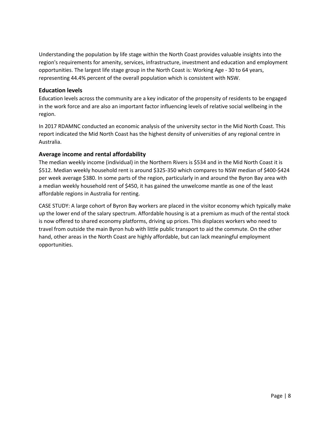Understanding the population by life stage within the North Coast provides valuable insights into the region's requirements for amenity, services, infrastructure, investment and education and employment opportunities. The largest life stage group in the North Coast is: Working Age - 30 to 64 years, representing 44.4% percent of the overall population which is consistent with NSW.

#### <span id="page-7-0"></span>**Education levels**

Education levels across the community are a key indicator of the propensity of residents to be engaged in the work force and are also an important factor influencing levels of relative social wellbeing in the region.

In 2017 RDAMNC conducted an economic analysis of the university sector in the Mid North Coast. This report indicated the Mid North Coast has the highest density of universities of any regional centre in Australia.

#### <span id="page-7-1"></span>**Average income and rental affordability**

The median weekly income (individual) in the Northern Rivers is \$534 and in the Mid North Coast it is \$512. Median weekly household rent is around \$325-350 which compares to NSW median of \$400-\$424 per week average \$380. In some parts of the region, particularly in and around the Byron Bay area with a median weekly household rent of \$450, it has gained the unwelcome mantle as one of the least affordable regions in Australia for renting.

CASE STUDY: A large cohort of Byron Bay workers are placed in the visitor economy which typically make up the lower end of the salary spectrum. Affordable housing is at a premium as much of the rental stock is now offered to shared economy platforms, driving up prices. This displaces workers who need to travel from outside the main Byron hub with little public transport to aid the commute. On the other hand, other areas in the North Coast are highly affordable, but can lack meaningful employment opportunities.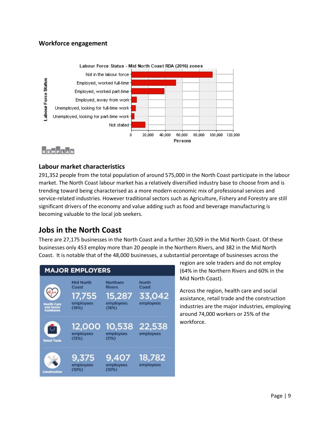#### <span id="page-8-0"></span>**Workforce engagement**



## REMPLAN

#### <span id="page-8-1"></span>**Labour market characteristics**

291,352 people from the total population of around 575,000 in the North Coast participate in the labour market. The North Coast labour market has a relatively diversified industry base to choose from and is trending toward being characterised as a more modern economic mix of professional services and service-related industries. However traditional sectors such as Agriculture, Fishery and Forestry are still significant drivers of the economy and value adding such as food and beverage manufacturing is becoming valuable to the local job seekers.

## <span id="page-8-2"></span>**Jobs in the North Coast**

There are 27,175 businesses in the North Coast and a further 20,509 in the Mid North Coast. Of these businesses only 453 employ more than 20 people in the Northern Rivers, and 382 in the Mid North Coast. It is notable that of the 48,000 businesses, a substantial percentage of businesses across the



region are sole traders and do not employ (64% in the Northern Rivers and 60% in the Mid North Coast).

Across the region, health care and social assistance, retail trade and the construction industries are the major industries, employing around 74,000 workers or 25% of the workforce.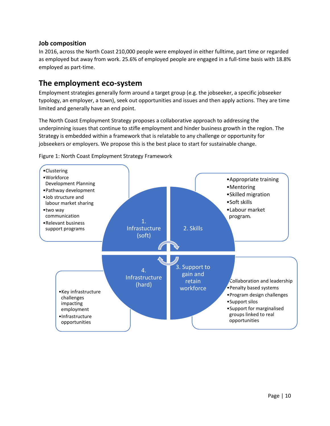#### <span id="page-9-0"></span>**Job composition**

In 2016, across the North Coast 210,000 people were employed in either fulltime, part time or regarded as employed but away from work. 25.6% of employed people are engaged in a full-time basis with 18.8% employed as part-time.

#### <span id="page-9-1"></span>**The employment eco-system**

Employment strategies generally form around a target group (e.g. the jobseeker, a specific jobseeker typology, an employer, a town), seek out opportunities and issues and then apply actions. They are time limited and generally have an end point.

The North Coast Employment Strategy proposes a collaborative approach to addressing the underpinning issues that continue to stifle employment and hinder business growth in the region. The Strategy is embedded within a framework that is relatable to any challenge or opportunity for jobseekers or employers. We propose this is the best place to start for sustainable change.



Figure 1: North Coast Employment Strategy Framework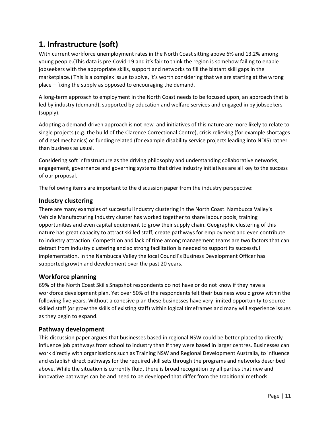## <span id="page-10-0"></span>**1. Infrastructure (soft)**

With current workforce unemployment rates in the North Coast sitting above 6% and 13.2% among young people.(This data is pre-Covid-19 and it's fair to think the region is somehow failing to enable jobseekers with the appropriate skills, support and networks to fill the blatant skill gaps in the marketplace.) This is a complex issue to solve, it's worth considering that we are starting at the wrong place – fixing the supply as opposed to encouraging the demand.

A long-term approach to employment in the North Coast needs to be focused upon, an approach that is led by industry (demand), supported by education and welfare services and engaged in by jobseekers (supply).

Adopting a demand-driven approach is not new and initiatives of this nature are more likely to relate to single projects (e.g. the build of the Clarence Correctional Centre), crisis relieving (for example shortages of diesel mechanics) or funding related (for example disability service projects leading into NDIS) rather than business as usual.

Considering soft infrastructure as the driving philosophy and understanding collaborative networks, engagement, governance and governing systems that drive industry initiatives are all key to the success of our proposal.

The following items are important to the discussion paper from the industry perspective:

#### <span id="page-10-1"></span>**Industry clustering**

There are many examples of successful industry clustering in the North Coast. Nambucca Valley's Vehicle Manufacturing Industry cluster has worked together to share labour pools, training opportunities and even capital equipment to grow their supply chain. Geographic clustering of this nature has great capacity to attract skilled staff, create pathways for employment and even contribute to industry attraction. Competition and lack of time among management teams are two factors that can detract from industry clustering and so strong facilitation is needed to support its successful implementation. In the Nambucca Valley the local Council's Business Development Officer has supported growth and development over the past 20 years.

#### <span id="page-10-2"></span>**Workforce planning**

69% of the North Coast Skills Snapshot respondents do not have or do not know if they have a workforce development plan. Yet over 50% of the respondents felt their business would grow within the following five years. Without a cohesive plan these businesses have very limited opportunity to source skilled staff (or grow the skills of existing staff) within logical timeframes and many will experience issues as they begin to expand.

#### <span id="page-10-3"></span>**Pathway development**

This discussion paper argues that businesses based in regional NSW could be better placed to directly influence job pathways from school to industry than if they were based in larger centres. Businesses can work directly with organisations such as Training NSW and Regional Development Australia, to influence and establish direct pathways for the required skill sets through the programs and networks described above. While the situation is currently fluid, there is broad recognition by all parties that new and innovative pathways can be and need to be developed that differ from the traditional methods.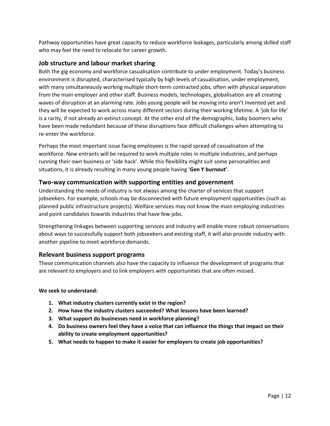Pathway opportunities have great capacity to reduce workforce leakages, particularly among skilled staff who may feel the need to relocate for career growth.

#### <span id="page-11-0"></span>**Job structure and labour market sharing**

Both the gig economy and workforce casualisation contribute to under employment. Today's business environment is disrupted, characterised typically by high levels of casualisation, under employment, with many simultaneously working multiple short-term contracted jobs, often with physical separation from the main employer and other staff. Business models, technologies, globalisation are all creating waves of disruption at an alarming rate. Jobs young people will be moving into aren't invented yet and they will be expected to work across many different sectors during their working lifetime. A 'job for life' is a rarity, if not already an extinct concept. At the other end of the demographic, baby boomers who have been made redundant because of these disruptions face difficult challenges when attempting to re-enter the workforce.

Perhaps the most important issue facing employees is the rapid spread of casualisation of the workforce. New entrants will be required to work multiple roles in multiple industries, and perhaps running their own business or 'side hack'. While this flexibility might suit some personalities and situations, it is already resulting in many young people having '**Gen Y burnout'**.

#### <span id="page-11-1"></span>**Two-way communication with supporting entities and government**

Understanding the needs of industry is not always among the charter of services that support jobseekers. For example, schools may be disconnected with future employment opportunities (such as planned public infrastructure projects). Welfare services may not know the main employing industries and point candidates towards industries that have few jobs.

Strengthening linkages between supporting services and industry will enable more robust conversations about ways to successfully support both jobseekers and existing staff, it will also provide industry with another pipeline to meet workforce demands.

#### <span id="page-11-2"></span>**Relevant business support programs**

These communication channels also have the capacity to influence the development of programs that are relevant to employers and to link employers with opportunities that are often missed.

- **1. What industry clusters currently exist in the region?**
- **2. How have the industry clusters succeeded? What lessons have been learned?**
- **3. What support do businesses need in workforce planning?**
- **4. Do business owners feel they have a voice that can influence the things that impact on their ability to create employment opportunities?**
- **5. What needs to happen to make it easier for employers to create job opportunities?**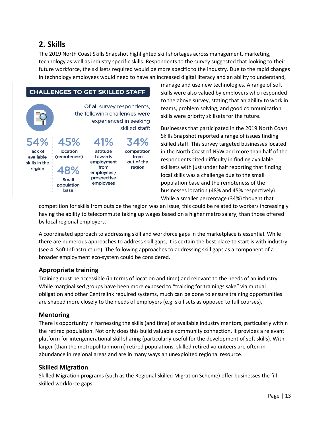## <span id="page-12-0"></span>**2. Skills**

The 2019 North Coast Skills Snapshot highlighted skill shortages across management, marketing, technology as well as industry specific skills. Respondents to the survey suggested that looking to their future workforce, the skillsets required would be more specific to the industry. Due to the rapid changes in technology employees would need to have an increased digital literacy and an ability to understand,

#### **CHALLENGES TO GET SKILLED STAFF**

|         |          | Of all survey respondents,<br>the following challenges were<br>experienced in seeking<br>skilled staff: |             |  |
|---------|----------|---------------------------------------------------------------------------------------------------------|-------------|--|
|         | 54% 45%  | 41%                                                                                                     | 34%         |  |
| lack of | location | attitude                                                                                                | competition |  |

towards

employment

from

employees / prospective

employees

from

out of the

region

manage and use new technologies. A range of soft skills were also valued by employers who responded to the above survey, stating that an ability to work in teams, problem solving, and good communication skills were priority skillsets for the future.

Businesses that participated in the 2019 North Coast Skills Snapshot reported a range of issues finding skilled staff. This survey targeted businesses located in the North Coast of NSW and more than half of the respondents cited difficulty in finding available skillsets with just under half reporting that finding local skills was a challenge due to the small population base and the remoteness of the businesses location (48% and 45% respectively). While a smaller percentage (34%) thought that

competition for skills from outside the region was an issue, this could be related to workers increasingly having the ability to telecommute taking up wages based on a higher metro salary, than those offered by local regional employers.

A coordinated approach to addressing skill and workforce gaps in the marketplace is essential. While there are numerous approaches to address skill gaps, it is certain the best place to start is with industry (see 4. Soft Infrastructure). The following approaches to addressing skill gaps as a component of a broader employment eco-system could be considered.

#### <span id="page-12-1"></span>**Appropriate training**

(remoteness)

48%

Small

population base

available

skills in the

region

Training must be accessible (in terms of location and time) and relevant to the needs of an industry. While marginalised groups have been more exposed to "training for trainings sake" via mutual obligation and other Centrelink required systems, much can be done to ensure training opportunities are shaped more closely to the needs of employers (e.g. skill sets as opposed to full courses).

#### <span id="page-12-2"></span>**Mentoring**

There is opportunity in harnessing the skills (and time) of available industry mentors, particularly within the retired population. Not only does this build valuable community connection, it provides a relevant platform for intergenerational skill sharing (particularly useful for the development of soft skills). With larger (than the metropolitan norm) retired populations, skilled retired volunteers are often in abundance in regional areas and are in many ways an unexploited regional resource.

#### <span id="page-12-3"></span>**Skilled Migration**

Skilled Migration programs (such as the Regional Skilled Migration Scheme) offer businesses the fill skilled workforce gaps.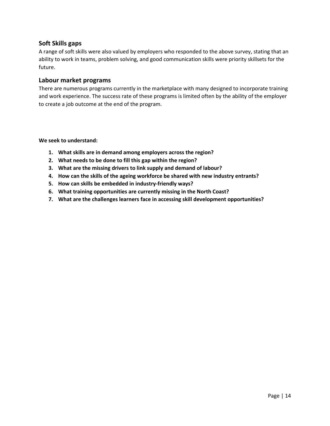#### <span id="page-13-0"></span>**Soft Skills gaps**

A range of soft skills were also valued by employers who responded to the above survey, stating that an ability to work in teams, problem solving, and good communication skills were priority skillsets for the future.

#### <span id="page-13-1"></span>**Labour market programs**

There are numerous programs currently in the marketplace with many designed to incorporate training and work experience. The success rate of these programs is limited often by the ability of the employer to create a job outcome at the end of the program.

- **1. What skills are in demand among employers across the region?**
- **2. What needs to be done to fill this gap within the region?**
- **3. What are the missing drivers to link supply and demand of labour?**
- **4. How can the skills of the ageing workforce be shared with new industry entrants?**
- **5. How can skills be embedded in industry-friendly ways?**
- **6. What training opportunities are currently missing in the North Coast?**
- **7. What are the challenges learners face in accessing skill development opportunities?**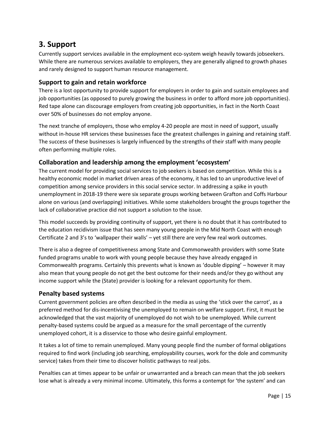## <span id="page-14-0"></span>**3. Support**

Currently support services available in the employment eco-system weigh heavily towards jobseekers. While there are numerous services available to employers, they are generally aligned to growth phases and rarely designed to support human resource management.

#### <span id="page-14-1"></span>**Support to gain and retain workforce**

There is a lost opportunity to provide support for employers in order to gain and sustain employees and job opportunities (as opposed to purely growing the business in order to afford more job opportunities). Red tape alone can discourage employers from creating job opportunities, in fact in the North Coast over 50% of businesses do not employ anyone.

The next tranche of employers, those who employ 4-20 people are most in need of support, usually without in-house HR services these businesses face the greatest challenges in gaining and retaining staff. The success of these businesses is largely influenced by the strengths of their staff with many people often performing multiple roles.

#### <span id="page-14-2"></span>**Collaboration and leadership among the employment 'ecosystem'**

The current model for providing social services to job seekers is based on competition. While this is a healthy economic model in market driven areas of the economy, it has led to an unproductive level of competition among service providers in this social service sector. In addressing a spike in youth unemployment in 2018-19 there were six separate groups working between Grafton and Coffs Harbour alone on various (and overlapping) initiatives. While some stakeholders brought the groups together the lack of collaborative practice did not support a solution to the issue.

This model succeeds by providing continuity of support, yet there is no doubt that it has contributed to the education recidivism issue that has seen many young people in the Mid North Coast with enough Certificate 2 and 3's to 'wallpaper their walls' – yet still there are very few real work outcomes.

There is also a degree of competitiveness among State and Commonwealth providers with some State funded programs unable to work with young people because they have already engaged in Commonwealth programs. Certainly this prevents what is known as 'double dipping' – however it may also mean that young people do not get the best outcome for their needs and/or they go without any income support while the (State) provider is looking for a relevant opportunity for them.

#### <span id="page-14-3"></span>**Penalty based systems**

Current government policies are often described in the media as using the 'stick over the carrot', as a preferred method for dis-incentivising the unemployed to remain on welfare support. First, it must be acknowledged that the vast majority of unemployed do not wish to be unemployed. While current penalty-based systems could be argued as a measure for the small percentage of the currently unemployed cohort, it is a disservice to those who desire gainful employment.

It takes a lot of time to remain unemployed. Many young people find the number of formal obligations required to find work (including job searching, employability courses, work for the dole and community service) takes from their time to discover holistic pathways to real jobs.

Penalties can at times appear to be unfair or unwarranted and a breach can mean that the job seekers lose what is already a very minimal income. Ultimately, this forms a contempt for 'the system' and can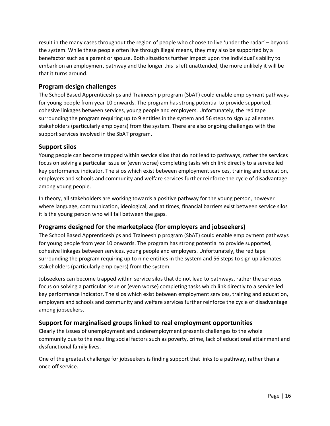result in the many cases throughout the region of people who choose to live 'under the radar' – beyond the system. While these people often live through illegal means, they may also be supported by a benefactor such as a parent or spouse. Both situations further impact upon the individual's ability to embark on an employment pathway and the longer this is left unattended, the more unlikely it will be that it turns around.

#### <span id="page-15-0"></span>**Program design challenges**

The School Based Apprenticeships and Traineeship program (SbAT) could enable employment pathways for young people from year 10 onwards. The program has strong potential to provide supported, cohesive linkages between services, young people and employers. Unfortunately, the red tape surrounding the program requiring up to 9 entities in the system and 56 steps to sign up alienates stakeholders (particularly employers) from the system. There are also ongoing challenges with the support services involved in the SbAT program.

#### <span id="page-15-1"></span>**Support silos**

Young people can become trapped within service silos that do not lead to pathways, rather the services focus on solving a particular issue or (even worse) completing tasks which link directly to a service led key performance indicator. The silos which exist between employment services, training and education, employers and schools and community and welfare services further reinforce the cycle of disadvantage among young people.

In theory, all stakeholders are working towards a positive pathway for the young person, however where language, communication, ideological, and at times, financial barriers exist between service silos it is the young person who will fall between the gaps.

#### <span id="page-15-2"></span>**Programs designed for the marketplace (for employers and jobseekers)**

The School Based Apprenticeships and Traineeship program (SbAT) could enable employment pathways for young people from year 10 onwards. The program has strong potential to provide supported, cohesive linkages between services, young people and employers. Unfortunately, the red tape surrounding the program requiring up to nine entities in the system and 56 steps to sign up alienates stakeholders (particularly employers) from the system.

Jobseekers can become trapped within service silos that do not lead to pathways, rather the services focus on solving a particular issue or (even worse) completing tasks which link directly to a service led key performance indicator. The silos which exist between employment services, training and education, employers and schools and community and welfare services further reinforce the cycle of disadvantage among jobseekers.

#### <span id="page-15-3"></span>**Support for marginalised groups linked to real employment opportunities**

Clearly the issues of unemployment and underemployment presents challenges to the whole community due to the resulting social factors such as poverty, crime, lack of educational attainment and dysfunctional family lives.

One of the greatest challenge for jobseekers is finding support that links to a pathway, rather than a once off service.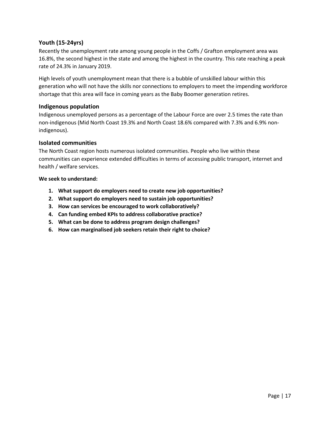#### <span id="page-16-0"></span>**Youth (15-24yrs)**

Recently the unemployment rate among young people in the Coffs / Grafton employment area was 16.8%, the second highest in the state and among the highest in the country. This rate reaching a peak rate of 24.3% in January 2019.

High levels of youth unemployment mean that there is a bubble of unskilled labour within this generation who will not have the skills nor connections to employers to meet the impending workforce shortage that this area will face in coming years as the Baby Boomer generation retires.

#### <span id="page-16-1"></span>**Indigenous population**

Indigenous unemployed persons as a percentage of the Labour Force are over 2.5 times the rate than non-indigenous (Mid North Coast 19.3% and North Coast 18.6% compared with 7.3% and 6.9% nonindigenous).

#### <span id="page-16-2"></span>**Isolated communities**

The North Coast region hosts numerous isolated communities. People who live within these communities can experience extended difficulties in terms of accessing public transport, internet and health / welfare services.

- **1. What support do employers need to create new job opportunities?**
- **2. What support do employers need to sustain job opportunities?**
- **3. How can services be encouraged to work collaboratively?**
- **4. Can funding embed KPIs to address collaborative practice?**
- **5. What can be done to address program design challenges?**
- **6. How can marginalised job seekers retain their right to choice?**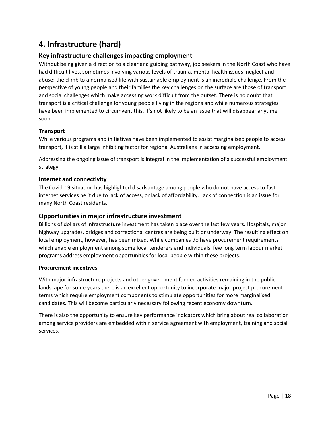## <span id="page-17-0"></span>**4. Infrastructure (hard)**

#### <span id="page-17-1"></span>**Key infrastructure challenges impacting employment**

Without being given a direction to a clear and guiding pathway, job seekers in the North Coast who have had difficult lives, sometimes involving various levels of trauma, mental health issues, neglect and abuse; the climb to a normalised life with sustainable employment is an incredible challenge. From the perspective of young people and their families the key challenges on the surface are those of transport and social challenges which make accessing work difficult from the outset. There is no doubt that transport is a critical challenge for young people living in the regions and while numerous strategies have been implemented to circumvent this, it's not likely to be an issue that will disappear anytime soon.

#### <span id="page-17-2"></span>**Transport**

While various programs and initiatives have been implemented to assist marginalised people to access transport, it is still a large inhibiting factor for regional Australians in accessing employment.

Addressing the ongoing issue of transport is integral in the implementation of a successful employment strategy.

#### <span id="page-17-3"></span>**Internet and connectivity**

The Covid-19 situation has highlighted disadvantage among people who do not have access to fast internet services be it due to lack of access, or lack of affordability. Lack of connection is an issue for many North Coast residents.

#### <span id="page-17-4"></span>**Opportunities in major infrastructure investment**

Billions of dollars of infrastructure investment has taken place over the last few years. Hospitals, major highway upgrades, bridges and correctional centres are being built or underway. The resulting effect on local employment, however, has been mixed. While companies do have procurement requirements which enable employment among some local tenderers and individuals, few long term labour market programs address employment opportunities for local people within these projects.

#### **Procurement incentives**

With major infrastructure projects and other government funded activities remaining in the public landscape for some years there is an excellent opportunity to incorporate major project procurement terms which require employment components to stimulate opportunities for more marginalised candidates. This will become particularly necessary following recent economy downturn.

There is also the opportunity to ensure key performance indicators which bring about real collaboration among service providers are embedded within service agreement with employment, training and social services.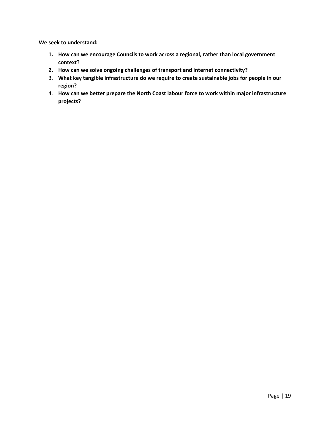- **1. How can we encourage Councils to work across a regional, rather than local government context?**
- **2. How can we solve ongoing challenges of transport and internet connectivity?**
- 3. **What key tangible infrastructure do we require to create sustainable jobs for people in our region?**
- 4. **How can we better prepare the North Coast labour force to work within major infrastructure projects?**